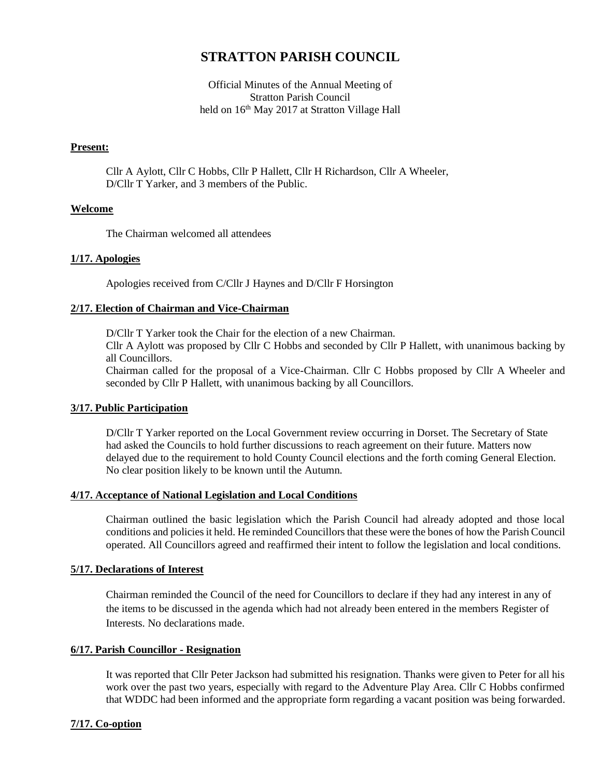# **STRATTON PARISH COUNCIL**

Official Minutes of the Annual Meeting of Stratton Parish Council held on 16<sup>th</sup> May 2017 at Stratton Village Hall

## **Present:**

Cllr A Aylott, Cllr C Hobbs, Cllr P Hallett, Cllr H Richardson, Cllr A Wheeler, D/Cllr T Yarker, and 3 members of the Public.

#### **Welcome**

The Chairman welcomed all attendees

#### **1/17. Apologies**

Apologies received from C/Cllr J Haynes and D/Cllr F Horsington

#### **2/17. Election of Chairman and Vice-Chairman**

D/Cllr T Yarker took the Chair for the election of a new Chairman. Cllr A Aylott was proposed by Cllr C Hobbs and seconded by Cllr P Hallett, with unanimous backing by all Councillors.

Chairman called for the proposal of a Vice-Chairman. Cllr C Hobbs proposed by Cllr A Wheeler and seconded by Cllr P Hallett, with unanimous backing by all Councillors.

## **3/17. Public Participation**

D/Cllr T Yarker reported on the Local Government review occurring in Dorset. The Secretary of State had asked the Councils to hold further discussions to reach agreement on their future. Matters now delayed due to the requirement to hold County Council elections and the forth coming General Election. No clear position likely to be known until the Autumn.

#### **4/17. Acceptance of National Legislation and Local Conditions**

Chairman outlined the basic legislation which the Parish Council had already adopted and those local conditions and policies it held. He reminded Councillors that these were the bones of how the Parish Council operated. All Councillors agreed and reaffirmed their intent to follow the legislation and local conditions.

#### **5/17. Declarations of Interest**

Chairman reminded the Council of the need for Councillors to declare if they had any interest in any of the items to be discussed in the agenda which had not already been entered in the members Register of Interests. No declarations made.

#### **6/17. Parish Councillor - Resignation**

It was reported that Cllr Peter Jackson had submitted his resignation. Thanks were given to Peter for all his work over the past two years, especially with regard to the Adventure Play Area. Cllr C Hobbs confirmed that WDDC had been informed and the appropriate form regarding a vacant position was being forwarded.

## **7/17. Co-option**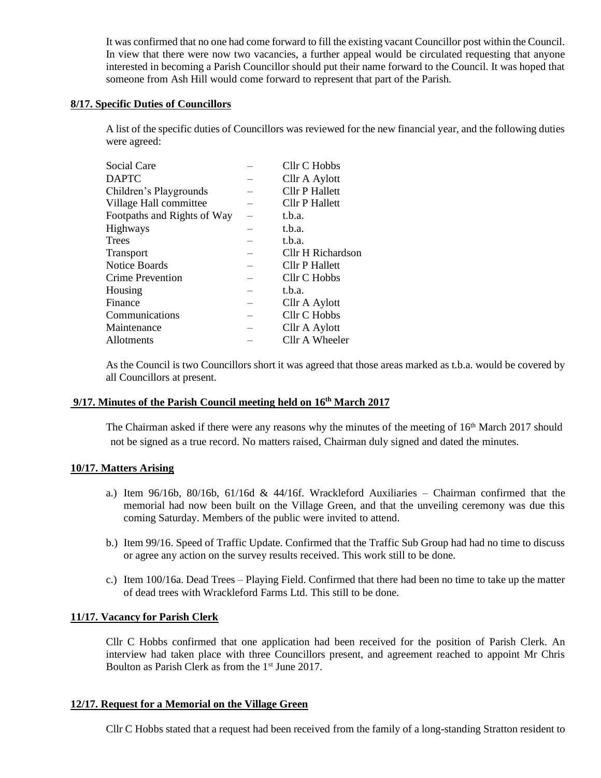It was confirmed that no one had come forward to fill the existing vacant Councillor post within the Council. In view that there were now two vacancies, a further appeal would be circulated requesting that anyone interested in becoming a Parish Councillor should put their name forward to the Council. It was hoped that someone from Ash Hill would come forward to represent that part of the Parish.

# **8/17. Specific Duties of Councillors**

A list of the specific duties of Councillors was reviewed for the new financial year, and the following duties were agreed:

| Social Care                 | Cllr C Hobbs          |
|-----------------------------|-----------------------|
| <b>DAPTC</b>                | Cllr A Aylott         |
| Children's Playgrounds      | <b>Cllr P Hallett</b> |
| Village Hall committee      | Cllr P Hallett        |
| Footpaths and Rights of Way | t.b.a.                |
| Highways                    | t.b.a.                |
| Trees                       | t.b.a.                |
| Transport                   | Cllr H Richardson     |
| <b>Notice Boards</b>        | Cllr P Hallett        |
| <b>Crime Prevention</b>     | Cllr C Hobbs          |
| Housing                     | t.b.a.                |
| Finance                     | Cllr A Aylott         |
| Communications              | Cllr C Hobbs          |
| Maintenance                 | Cllr A Aylott         |
| Allotments                  | Cllr A Wheeler        |
|                             |                       |

As the Council is two Councillors short it was agreed that those areas marked as t.b.a. would be covered by all Councillors at present.

## **9/17. Minutes of the Parish Council meeting held on 16 th March 2017**

The Chairman asked if there were any reasons why the minutes of the meeting of 16<sup>th</sup> March 2017 should not be signed as a true record. No matters raised, Chairman duly signed and dated the minutes.

#### **10/17. Matters Arising**

- a.) Item 96/16b, 80/16b, 61/16d & 44/16f. Wrackleford Auxiliaries Chairman confirmed that the memorial had now been built on the Village Green, and that the unveiling ceremony was due this coming Saturday. Members of the public were invited to attend.
- b.) Item 99/16. Speed of Traffic Update. Confirmed that the Traffic Sub Group had had no time to discuss or agree any action on the survey results received. This work still to be done.
- c.) Item 100/16a. Dead Trees Playing Field. Confirmed that there had been no time to take up the matter of dead trees with Wrackleford Farms Ltd. This still to be done.

#### **11/17. Vacancy for Parish Clerk**

Cllr C Hobbs confirmed that one application had been received for the position of Parish Clerk. An interview had taken place with three Councillors present, and agreement reached to appoint Mr Chris Boulton as Parish Clerk as from the 1<sup>st</sup> June 2017.

#### **12/17. Request for a Memorial on the Village Green**

Cllr C Hobbs stated that a request had been received from the family of a long-standing Stratton resident to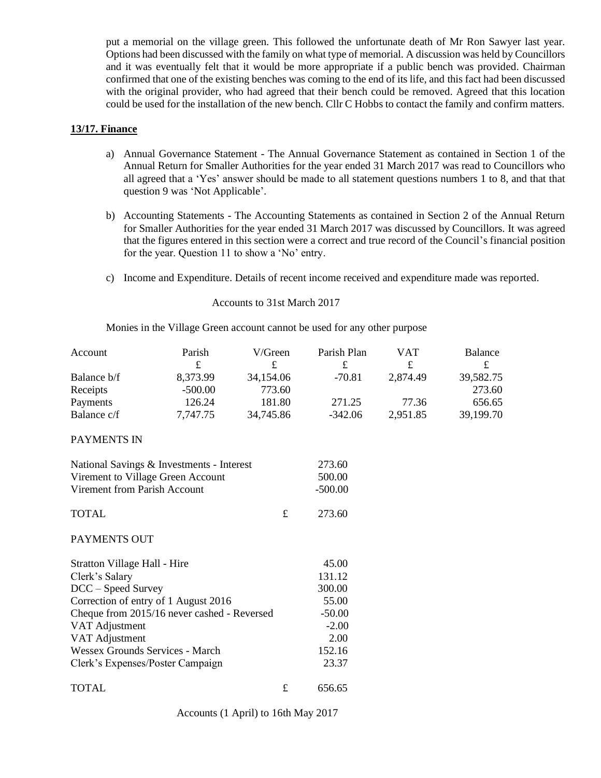put a memorial on the village green. This followed the unfortunate death of Mr Ron Sawyer last year. Options had been discussed with the family on what type of memorial. A discussion was held by Councillors and it was eventually felt that it would be more appropriate if a public bench was provided. Chairman confirmed that one of the existing benches was coming to the end of its life, and this fact had been discussed with the original provider, who had agreed that their bench could be removed. Agreed that this location could be used for the installation of the new bench. Cllr C Hobbs to contact the family and confirm matters.

## **13/17. Finance**

- a) Annual Governance Statement The Annual Governance Statement as contained in Section 1 of the Annual Return for Smaller Authorities for the year ended 31 March 2017 was read to Councillors who all agreed that a 'Yes' answer should be made to all statement questions numbers 1 to 8, and that that question 9 was 'Not Applicable'.
- b) Accounting Statements The Accounting Statements as contained in Section 2 of the Annual Return for Smaller Authorities for the year ended 31 March 2017 was discussed by Councillors. It was agreed that the figures entered in this section were a correct and true record of the Council's financial position for the year. Question 11 to show a 'No' entry.
- c) Income and Expenditure. Details of recent income received and expenditure made was reported.

Accounts to 31st March 2017

Monies in the Village Green account cannot be used for any other purpose

| Account                                     | Parish    | V/Green     | Parish Plan | VAT      | Balance   |
|---------------------------------------------|-----------|-------------|-------------|----------|-----------|
|                                             | £         | £           | £           | £        | $\pounds$ |
| Balance b/f                                 | 8,373.99  | 34,154.06   | $-70.81$    | 2,874.49 | 39,582.75 |
| Receipts                                    | $-500.00$ | 773.60      |             |          | 273.60    |
| Payments                                    | 126.24    | 181.80      | 271.25      | 77.36    | 656.65    |
| Balance c/f                                 | 7,747.75  | 34,745.86   | $-342.06$   | 2,951.85 | 39,199.70 |
| PAYMENTS IN                                 |           |             |             |          |           |
| National Savings & Investments - Interest   |           |             | 273.60      |          |           |
| Virement to Village Green Account           |           |             | 500.00      |          |           |
| Virement from Parish Account                |           |             | $-500.00$   |          |           |
| <b>TOTAL</b>                                |           | $\mathbf f$ | 273.60      |          |           |
| PAYMENTS OUT                                |           |             |             |          |           |
| Stratton Village Hall - Hire                |           |             | 45.00       |          |           |
| Clerk's Salary                              |           |             | 131.12      |          |           |
| DCC - Speed Survey                          |           |             | 300.00      |          |           |
| Correction of entry of 1 August 2016        |           |             | 55.00       |          |           |
| Cheque from 2015/16 never cashed - Reversed |           |             | $-50.00$    |          |           |
| VAT Adjustment                              |           |             | $-2.00$     |          |           |
| VAT Adjustment                              |           |             | 2.00        |          |           |
| <b>Wessex Grounds Services - March</b>      |           |             | 152.16      |          |           |
| Clerk's Expenses/Poster Campaign            |           |             | 23.37       |          |           |
| <b>TOTAL</b>                                |           | $\pounds$   | 656.65      |          |           |

Accounts (1 April) to 16th May 2017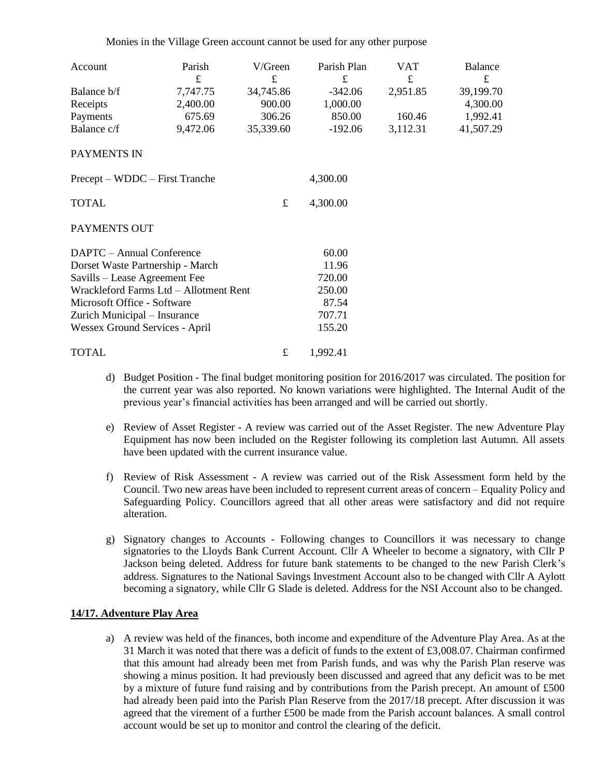Monies in the Village Green account cannot be used for any other purpose

| Account                                | Parish   | V/Green   | Parish Plan | VAT      | Balance   |
|----------------------------------------|----------|-----------|-------------|----------|-----------|
|                                        | £        | £         | £           | £        | £         |
| Balance b/f                            | 7,747.75 | 34,745.86 | $-342.06$   | 2,951.85 | 39,199.70 |
| Receipts                               | 2,400.00 | 900.00    | 1,000.00    |          | 4,300.00  |
| Payments                               | 675.69   | 306.26    | 850.00      | 160.46   | 1,992.41  |
| Balance c/f                            | 9,472.06 | 35,339.60 | $-192.06$   | 3,112.31 | 41,507.29 |
| PAYMENTS IN                            |          |           |             |          |           |
| Precept – WDDC – First Tranche         |          |           | 4,300.00    |          |           |
| <b>TOTAL</b>                           |          | £         | 4,300.00    |          |           |
| PAYMENTS OUT                           |          |           |             |          |           |
| DAPTC - Annual Conference              |          |           | 60.00       |          |           |
| Dorset Waste Partnership - March       |          |           | 11.96       |          |           |
| Savills – Lease Agreement Fee          |          |           | 720.00      |          |           |
| Wrackleford Farms Ltd - Allotment Rent |          |           | 250.00      |          |           |
| Microsoft Office - Software            |          |           | 87.54       |          |           |
| Zurich Municipal - Insurance           |          |           | 707.71      |          |           |
| Wessex Ground Services - April         |          |           | 155.20      |          |           |
| <b>TOTAL</b>                           |          | £         | 1,992.41    |          |           |

- d) Budget Position The final budget monitoring position for 2016/2017 was circulated. The position for the current year was also reported. No known variations were highlighted. The Internal Audit of the previous year's financial activities has been arranged and will be carried out shortly.
- e) Review of Asset Register A review was carried out of the Asset Register. The new Adventure Play Equipment has now been included on the Register following its completion last Autumn. All assets have been updated with the current insurance value.
- f) Review of Risk Assessment A review was carried out of the Risk Assessment form held by the Council. Two new areas have been included to represent current areas of concern – Equality Policy and Safeguarding Policy. Councillors agreed that all other areas were satisfactory and did not require alteration.
- g) Signatory changes to Accounts Following changes to Councillors it was necessary to change signatories to the Lloyds Bank Current Account. Cllr A Wheeler to become a signatory, with Cllr P Jackson being deleted. Address for future bank statements to be changed to the new Parish Clerk's address. Signatures to the National Savings Investment Account also to be changed with Cllr A Aylott becoming a signatory, while Cllr G Slade is deleted. Address for the NSI Account also to be changed.

## **14/17. Adventure Play Area**

a) A review was held of the finances, both income and expenditure of the Adventure Play Area. As at the 31 March it was noted that there was a deficit of funds to the extent of £3,008.07. Chairman confirmed that this amount had already been met from Parish funds, and was why the Parish Plan reserve was showing a minus position. It had previously been discussed and agreed that any deficit was to be met by a mixture of future fund raising and by contributions from the Parish precept. An amount of £500 had already been paid into the Parish Plan Reserve from the 2017/18 precept. After discussion it was agreed that the virement of a further £500 be made from the Parish account balances. A small control account would be set up to monitor and control the clearing of the deficit.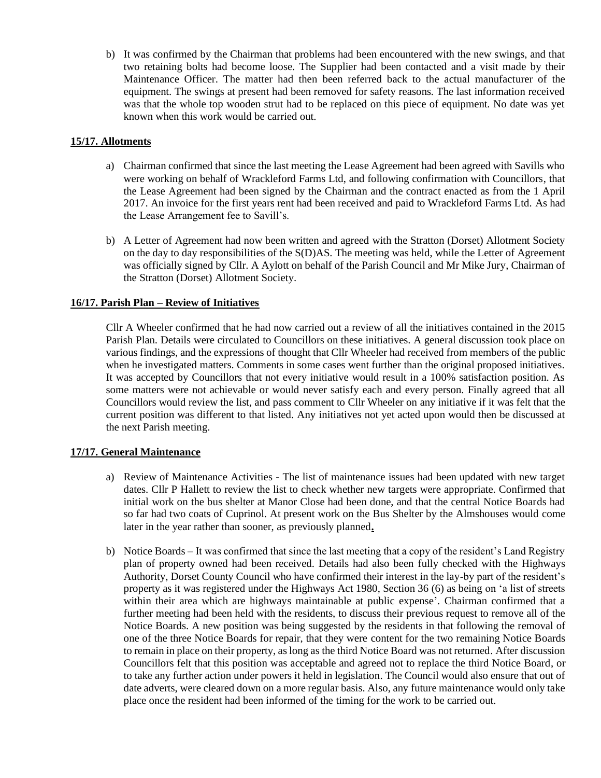b) It was confirmed by the Chairman that problems had been encountered with the new swings, and that two retaining bolts had become loose. The Supplier had been contacted and a visit made by their Maintenance Officer. The matter had then been referred back to the actual manufacturer of the equipment. The swings at present had been removed for safety reasons. The last information received was that the whole top wooden strut had to be replaced on this piece of equipment. No date was yet known when this work would be carried out.

# **15/17. Allotments**

- a) Chairman confirmed that since the last meeting the Lease Agreement had been agreed with Savills who were working on behalf of Wrackleford Farms Ltd, and following confirmation with Councillors, that the Lease Agreement had been signed by the Chairman and the contract enacted as from the 1 April 2017. An invoice for the first years rent had been received and paid to Wrackleford Farms Ltd. As had the Lease Arrangement fee to Savill's.
- b) A Letter of Agreement had now been written and agreed with the Stratton (Dorset) Allotment Society on the day to day responsibilities of the S(D)AS. The meeting was held, while the Letter of Agreement was officially signed by Cllr. A Aylott on behalf of the Parish Council and Mr Mike Jury, Chairman of the Stratton (Dorset) Allotment Society.

# **16/17. Parish Plan – Review of Initiatives**

Cllr A Wheeler confirmed that he had now carried out a review of all the initiatives contained in the 2015 Parish Plan. Details were circulated to Councillors on these initiatives. A general discussion took place on various findings, and the expressions of thought that Cllr Wheeler had received from members of the public when he investigated matters. Comments in some cases went further than the original proposed initiatives. It was accepted by Councillors that not every initiative would result in a 100% satisfaction position. As some matters were not achievable or would never satisfy each and every person. Finally agreed that all Councillors would review the list, and pass comment to Cllr Wheeler on any initiative if it was felt that the current position was different to that listed. Any initiatives not yet acted upon would then be discussed at the next Parish meeting.

## **17/17. General Maintenance**

- a) Review of Maintenance Activities The list of maintenance issues had been updated with new target dates. Cllr P Hallett to review the list to check whether new targets were appropriate. Confirmed that initial work on the bus shelter at Manor Close had been done, and that the central Notice Boards had so far had two coats of Cuprinol. At present work on the Bus Shelter by the Almshouses would come later in the year rather than sooner, as previously planned**.**
- b) Notice Boards It was confirmed that since the last meeting that a copy of the resident's Land Registry plan of property owned had been received. Details had also been fully checked with the Highways Authority, Dorset County Council who have confirmed their interest in the lay-by part of the resident's property as it was registered under the Highways Act 1980, Section 36 (6) as being on 'a list of streets within their area which are highways maintainable at public expense'. Chairman confirmed that a further meeting had been held with the residents, to discuss their previous request to remove all of the Notice Boards. A new position was being suggested by the residents in that following the removal of one of the three Notice Boards for repair, that they were content for the two remaining Notice Boards to remain in place on their property, as long as the third Notice Board was not returned. After discussion Councillors felt that this position was acceptable and agreed not to replace the third Notice Board, or to take any further action under powers it held in legislation. The Council would also ensure that out of date adverts, were cleared down on a more regular basis. Also, any future maintenance would only take place once the resident had been informed of the timing for the work to be carried out.